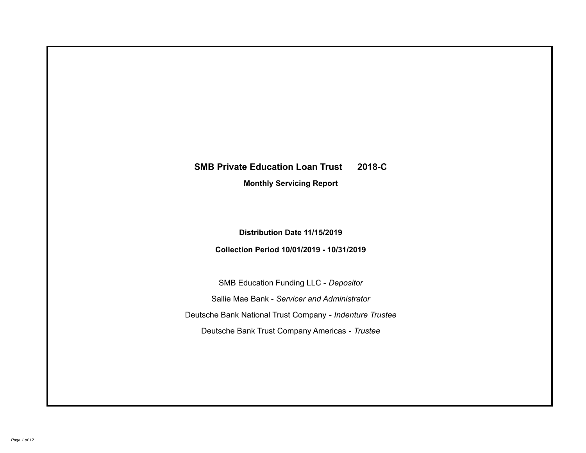# **SMB Private Education Loan Trust 2018-C Monthly Servicing Report**

## **Distribution Date 11/15/2019**

## **Collection Period 10/01/2019 - 10/31/2019**

SMB Education Funding LLC - *Depositor* Sallie Mae Bank - *Servicer and Administrator* Deutsche Bank National Trust Company - *Indenture Trustee* Deutsche Bank Trust Company Americas - *Trustee*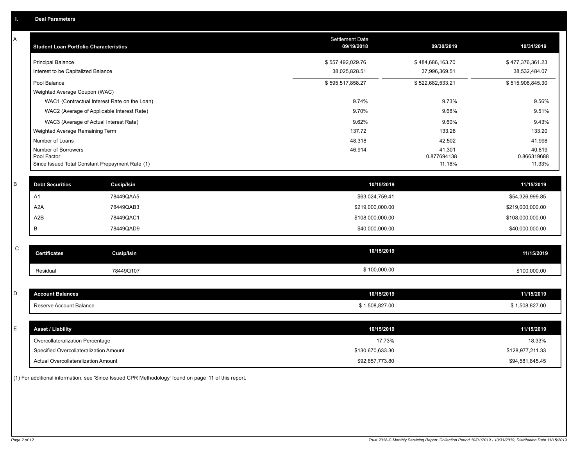| A           | <b>Student Loan Portfolio Characteristics</b>                  |                                              | <b>Settlement Date</b><br>09/19/2018 | 09/30/2019            | 10/31/2019            |
|-------------|----------------------------------------------------------------|----------------------------------------------|--------------------------------------|-----------------------|-----------------------|
|             | <b>Principal Balance</b>                                       |                                              | \$557,492,029.76                     | \$484,686,163.70      | \$477,376,361.23      |
|             | Interest to be Capitalized Balance                             |                                              | 38,025,828.51                        | 37,996,369.51         | 38,532,484.07         |
|             | Pool Balance                                                   |                                              | \$595,517,858.27                     | \$522,682,533.21      | \$515,908,845.30      |
|             | Weighted Average Coupon (WAC)                                  |                                              |                                      |                       |                       |
|             |                                                                | WAC1 (Contractual Interest Rate on the Loan) | 9.74%                                | 9.73%                 | 9.56%                 |
|             |                                                                | WAC2 (Average of Applicable Interest Rate)   | 9.70%                                | 9.68%                 | 9.51%                 |
|             | WAC3 (Average of Actual Interest Rate)                         |                                              | 9.62%                                | 9.60%                 | 9.43%                 |
|             | Weighted Average Remaining Term                                |                                              | 137.72                               | 133.28                | 133.20                |
|             | Number of Loans                                                |                                              | 48,318                               | 42,502                | 41,998                |
|             | Number of Borrowers                                            |                                              | 46,914                               | 41,301                | 40,819                |
|             | Pool Factor<br>Since Issued Total Constant Prepayment Rate (1) |                                              |                                      | 0.877694138<br>11.18% | 0.866319688<br>11.33% |
|             |                                                                |                                              |                                      |                       |                       |
| $\sf B$     | <b>Debt Securities</b>                                         | <b>Cusip/Isin</b>                            | 10/15/2019                           |                       | 11/15/2019            |
|             | A1                                                             | 78449QAA5                                    | \$63,024,759.41                      |                       | \$54,326,999.85       |
|             | A <sub>2</sub> A                                               | 78449QAB3                                    | \$219,000,000.00                     |                       | \$219,000,000.00      |
|             | A2B                                                            | 78449QAC1                                    | \$108,000,000.00                     |                       | \$108,000,000.00      |
|             | В                                                              | 78449QAD9                                    | \$40,000,000.00                      |                       | \$40,000,000.00       |
|             |                                                                |                                              |                                      |                       |                       |
| $\mathbf C$ | <b>Certificates</b>                                            | <b>Cusip/Isin</b>                            | 10/15/2019                           |                       | 11/15/2019            |
|             | Residual                                                       | 78449Q107                                    | \$100,000.00                         |                       | \$100,000.00          |
|             |                                                                |                                              |                                      |                       |                       |
| D           | <b>Account Balances</b>                                        |                                              | 10/15/2019                           |                       | 11/15/2019            |
|             | Reserve Account Balance                                        |                                              | \$1,508,827.00                       |                       | \$1,508,827.00        |
|             |                                                                |                                              |                                      |                       |                       |
| E           | <b>Asset / Liability</b>                                       |                                              | 10/15/2019                           |                       | 11/15/2019            |
|             | Overcollateralization Percentage                               |                                              | 17.73%                               |                       | 18.33%                |
|             | Specified Overcollateralization Amount                         |                                              | \$130,670,633.30                     |                       | \$128,977,211.33      |
|             | <b>Actual Overcollateralization Amount</b>                     |                                              | \$92,657,773.80                      |                       | \$94,581,845.45       |

(1) For additional information, see 'Since Issued CPR Methodology' found on page 11 of this report.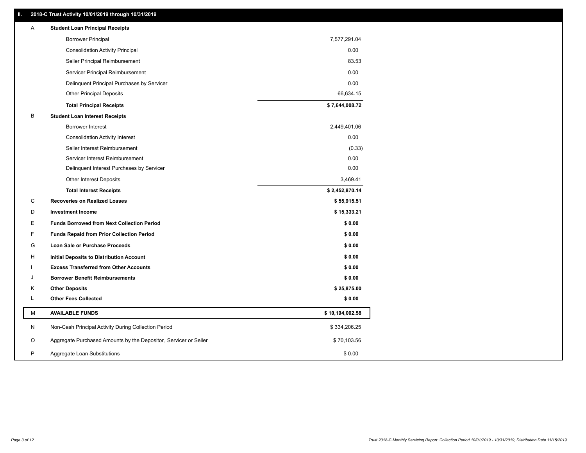## **II. 2018-C Trust Activity 10/01/2019 through 10/31/2019**

| <b>Borrower Principal</b><br>7,577,291.04<br><b>Consolidation Activity Principal</b><br>0.00<br>83.53<br>Seller Principal Reimbursement<br>0.00<br>Servicer Principal Reimbursement<br>0.00<br>Delinquent Principal Purchases by Servicer<br><b>Other Principal Deposits</b><br>66,634.15<br>\$7,644,008.72<br><b>Total Principal Receipts</b><br>B<br><b>Student Loan Interest Receipts</b><br><b>Borrower Interest</b><br>2,449,401.06<br>0.00<br><b>Consolidation Activity Interest</b><br>Seller Interest Reimbursement<br>(0.33)<br>0.00<br>Servicer Interest Reimbursement<br>0.00<br>Delinquent Interest Purchases by Servicer<br><b>Other Interest Deposits</b><br>3,469.41<br>\$2,452,870.14<br><b>Total Interest Receipts</b><br>C<br><b>Recoveries on Realized Losses</b><br>\$55,915.51<br>D<br><b>Investment Income</b><br>\$15,333.21<br>Ε<br><b>Funds Borrowed from Next Collection Period</b><br>\$0.00<br>F<br><b>Funds Repaid from Prior Collection Period</b><br>\$0.00<br>G<br>\$0.00<br>Loan Sale or Purchase Proceeds<br>\$0.00<br>н<br>Initial Deposits to Distribution Account<br><b>Excess Transferred from Other Accounts</b><br>\$0.00<br><b>Borrower Benefit Reimbursements</b><br>\$0.00<br>J<br><b>Other Deposits</b><br>\$25,875.00<br>Κ<br><b>Other Fees Collected</b><br>L<br>\$0.00<br>М<br><b>AVAILABLE FUNDS</b><br>\$10,194,002.58<br>N<br>Non-Cash Principal Activity During Collection Period<br>\$334,206.25<br>Aggregate Purchased Amounts by the Depositor, Servicer or Seller<br>\$70,103.56<br>O<br>P<br>\$0.00<br>Aggregate Loan Substitutions | Α | <b>Student Loan Principal Receipts</b> |  |
|---------------------------------------------------------------------------------------------------------------------------------------------------------------------------------------------------------------------------------------------------------------------------------------------------------------------------------------------------------------------------------------------------------------------------------------------------------------------------------------------------------------------------------------------------------------------------------------------------------------------------------------------------------------------------------------------------------------------------------------------------------------------------------------------------------------------------------------------------------------------------------------------------------------------------------------------------------------------------------------------------------------------------------------------------------------------------------------------------------------------------------------------------------------------------------------------------------------------------------------------------------------------------------------------------------------------------------------------------------------------------------------------------------------------------------------------------------------------------------------------------------------------------------------------------------------------------------------------|---|----------------------------------------|--|
|                                                                                                                                                                                                                                                                                                                                                                                                                                                                                                                                                                                                                                                                                                                                                                                                                                                                                                                                                                                                                                                                                                                                                                                                                                                                                                                                                                                                                                                                                                                                                                                             |   |                                        |  |
|                                                                                                                                                                                                                                                                                                                                                                                                                                                                                                                                                                                                                                                                                                                                                                                                                                                                                                                                                                                                                                                                                                                                                                                                                                                                                                                                                                                                                                                                                                                                                                                             |   |                                        |  |
|                                                                                                                                                                                                                                                                                                                                                                                                                                                                                                                                                                                                                                                                                                                                                                                                                                                                                                                                                                                                                                                                                                                                                                                                                                                                                                                                                                                                                                                                                                                                                                                             |   |                                        |  |
|                                                                                                                                                                                                                                                                                                                                                                                                                                                                                                                                                                                                                                                                                                                                                                                                                                                                                                                                                                                                                                                                                                                                                                                                                                                                                                                                                                                                                                                                                                                                                                                             |   |                                        |  |
|                                                                                                                                                                                                                                                                                                                                                                                                                                                                                                                                                                                                                                                                                                                                                                                                                                                                                                                                                                                                                                                                                                                                                                                                                                                                                                                                                                                                                                                                                                                                                                                             |   |                                        |  |
|                                                                                                                                                                                                                                                                                                                                                                                                                                                                                                                                                                                                                                                                                                                                                                                                                                                                                                                                                                                                                                                                                                                                                                                                                                                                                                                                                                                                                                                                                                                                                                                             |   |                                        |  |
|                                                                                                                                                                                                                                                                                                                                                                                                                                                                                                                                                                                                                                                                                                                                                                                                                                                                                                                                                                                                                                                                                                                                                                                                                                                                                                                                                                                                                                                                                                                                                                                             |   |                                        |  |
|                                                                                                                                                                                                                                                                                                                                                                                                                                                                                                                                                                                                                                                                                                                                                                                                                                                                                                                                                                                                                                                                                                                                                                                                                                                                                                                                                                                                                                                                                                                                                                                             |   |                                        |  |
|                                                                                                                                                                                                                                                                                                                                                                                                                                                                                                                                                                                                                                                                                                                                                                                                                                                                                                                                                                                                                                                                                                                                                                                                                                                                                                                                                                                                                                                                                                                                                                                             |   |                                        |  |
|                                                                                                                                                                                                                                                                                                                                                                                                                                                                                                                                                                                                                                                                                                                                                                                                                                                                                                                                                                                                                                                                                                                                                                                                                                                                                                                                                                                                                                                                                                                                                                                             |   |                                        |  |
|                                                                                                                                                                                                                                                                                                                                                                                                                                                                                                                                                                                                                                                                                                                                                                                                                                                                                                                                                                                                                                                                                                                                                                                                                                                                                                                                                                                                                                                                                                                                                                                             |   |                                        |  |
|                                                                                                                                                                                                                                                                                                                                                                                                                                                                                                                                                                                                                                                                                                                                                                                                                                                                                                                                                                                                                                                                                                                                                                                                                                                                                                                                                                                                                                                                                                                                                                                             |   |                                        |  |
|                                                                                                                                                                                                                                                                                                                                                                                                                                                                                                                                                                                                                                                                                                                                                                                                                                                                                                                                                                                                                                                                                                                                                                                                                                                                                                                                                                                                                                                                                                                                                                                             |   |                                        |  |
|                                                                                                                                                                                                                                                                                                                                                                                                                                                                                                                                                                                                                                                                                                                                                                                                                                                                                                                                                                                                                                                                                                                                                                                                                                                                                                                                                                                                                                                                                                                                                                                             |   |                                        |  |
|                                                                                                                                                                                                                                                                                                                                                                                                                                                                                                                                                                                                                                                                                                                                                                                                                                                                                                                                                                                                                                                                                                                                                                                                                                                                                                                                                                                                                                                                                                                                                                                             |   |                                        |  |
|                                                                                                                                                                                                                                                                                                                                                                                                                                                                                                                                                                                                                                                                                                                                                                                                                                                                                                                                                                                                                                                                                                                                                                                                                                                                                                                                                                                                                                                                                                                                                                                             |   |                                        |  |
|                                                                                                                                                                                                                                                                                                                                                                                                                                                                                                                                                                                                                                                                                                                                                                                                                                                                                                                                                                                                                                                                                                                                                                                                                                                                                                                                                                                                                                                                                                                                                                                             |   |                                        |  |
|                                                                                                                                                                                                                                                                                                                                                                                                                                                                                                                                                                                                                                                                                                                                                                                                                                                                                                                                                                                                                                                                                                                                                                                                                                                                                                                                                                                                                                                                                                                                                                                             |   |                                        |  |
|                                                                                                                                                                                                                                                                                                                                                                                                                                                                                                                                                                                                                                                                                                                                                                                                                                                                                                                                                                                                                                                                                                                                                                                                                                                                                                                                                                                                                                                                                                                                                                                             |   |                                        |  |
|                                                                                                                                                                                                                                                                                                                                                                                                                                                                                                                                                                                                                                                                                                                                                                                                                                                                                                                                                                                                                                                                                                                                                                                                                                                                                                                                                                                                                                                                                                                                                                                             |   |                                        |  |
|                                                                                                                                                                                                                                                                                                                                                                                                                                                                                                                                                                                                                                                                                                                                                                                                                                                                                                                                                                                                                                                                                                                                                                                                                                                                                                                                                                                                                                                                                                                                                                                             |   |                                        |  |
|                                                                                                                                                                                                                                                                                                                                                                                                                                                                                                                                                                                                                                                                                                                                                                                                                                                                                                                                                                                                                                                                                                                                                                                                                                                                                                                                                                                                                                                                                                                                                                                             |   |                                        |  |
|                                                                                                                                                                                                                                                                                                                                                                                                                                                                                                                                                                                                                                                                                                                                                                                                                                                                                                                                                                                                                                                                                                                                                                                                                                                                                                                                                                                                                                                                                                                                                                                             |   |                                        |  |
|                                                                                                                                                                                                                                                                                                                                                                                                                                                                                                                                                                                                                                                                                                                                                                                                                                                                                                                                                                                                                                                                                                                                                                                                                                                                                                                                                                                                                                                                                                                                                                                             |   |                                        |  |
|                                                                                                                                                                                                                                                                                                                                                                                                                                                                                                                                                                                                                                                                                                                                                                                                                                                                                                                                                                                                                                                                                                                                                                                                                                                                                                                                                                                                                                                                                                                                                                                             |   |                                        |  |
|                                                                                                                                                                                                                                                                                                                                                                                                                                                                                                                                                                                                                                                                                                                                                                                                                                                                                                                                                                                                                                                                                                                                                                                                                                                                                                                                                                                                                                                                                                                                                                                             |   |                                        |  |
|                                                                                                                                                                                                                                                                                                                                                                                                                                                                                                                                                                                                                                                                                                                                                                                                                                                                                                                                                                                                                                                                                                                                                                                                                                                                                                                                                                                                                                                                                                                                                                                             |   |                                        |  |
|                                                                                                                                                                                                                                                                                                                                                                                                                                                                                                                                                                                                                                                                                                                                                                                                                                                                                                                                                                                                                                                                                                                                                                                                                                                                                                                                                                                                                                                                                                                                                                                             |   |                                        |  |
|                                                                                                                                                                                                                                                                                                                                                                                                                                                                                                                                                                                                                                                                                                                                                                                                                                                                                                                                                                                                                                                                                                                                                                                                                                                                                                                                                                                                                                                                                                                                                                                             |   |                                        |  |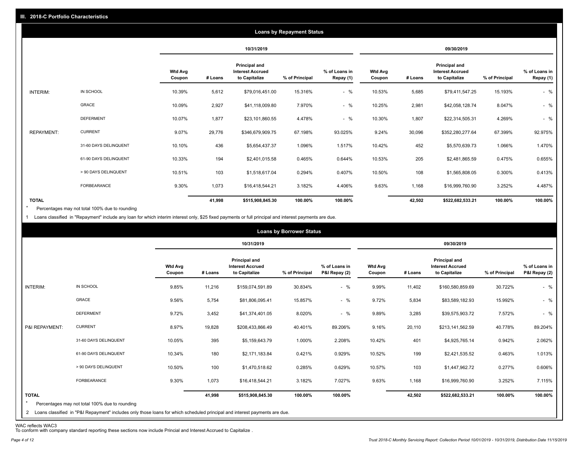|                   |                       |                          |         |                                                           | <b>Loans by Repayment Status</b> |                            |                          |         |                                                           |                |                            |
|-------------------|-----------------------|--------------------------|---------|-----------------------------------------------------------|----------------------------------|----------------------------|--------------------------|---------|-----------------------------------------------------------|----------------|----------------------------|
|                   |                       |                          |         | 10/31/2019                                                |                                  |                            |                          |         | 09/30/2019                                                |                |                            |
|                   |                       | <b>Wtd Avg</b><br>Coupon | # Loans | Principal and<br><b>Interest Accrued</b><br>to Capitalize | % of Principal                   | % of Loans in<br>Repay (1) | <b>Wtd Avg</b><br>Coupon | # Loans | Principal and<br><b>Interest Accrued</b><br>to Capitalize | % of Principal | % of Loans in<br>Repay (1) |
| INTERIM:          | IN SCHOOL             | 10.39%                   | 5,612   | \$79,016,451.00                                           | 15.316%                          | $-$ %                      | 10.53%                   | 5,685   | \$79,411,547.25                                           | 15.193%        | $-$ %                      |
|                   | GRACE                 | 10.09%                   | 2,927   | \$41,118,009.80                                           | 7.970%                           | $-$ %                      | 10.25%                   | 2,981   | \$42,058,128.74                                           | 8.047%         | $-$ %                      |
|                   | <b>DEFERMENT</b>      | 10.07%                   | 1,877   | \$23,101,860.55                                           | 4.478%                           | $-$ %                      | 10.30%                   | 1,807   | \$22,314,505.31                                           | 4.269%         | $-$ %                      |
| <b>REPAYMENT:</b> | <b>CURRENT</b>        | 9.07%                    | 29,776  | \$346,679,909.75                                          | 67.198%                          | 93.025%                    | 9.24%                    | 30,096  | \$352,280,277.64                                          | 67.399%        | 92.975%                    |
|                   | 31-60 DAYS DELINQUENT | 10.10%                   | 436     | \$5,654,437.37                                            | 1.096%                           | 1.517%                     | 10.42%                   | 452     | \$5,570,639.73                                            | 1.066%         | 1.470%                     |
|                   | 61-90 DAYS DELINQUENT | 10.33%                   | 194     | \$2,401,015.58                                            | 0.465%                           | 0.644%                     | 10.53%                   | 205     | \$2,481,865.59                                            | 0.475%         | 0.655%                     |
|                   | > 90 DAYS DELINQUENT  | 10.51%                   | 103     | \$1,518,617.04                                            | 0.294%                           | 0.407%                     | 10.50%                   | 108     | \$1,565,808.05                                            | 0.300%         | 0.413%                     |
|                   | FORBEARANCE           | 9.30%                    | 1,073   | \$16,418,544.21                                           | 3.182%                           | 4.406%                     | 9.63%                    | 1,168   | \$16,999,760.90                                           | 3.252%         | 4.487%                     |
| <b>TOTAL</b>      |                       |                          | 41,998  | \$515,908,845.30                                          | 100.00%                          | 100.00%                    |                          | 42,502  | \$522,682,533.21                                          | 100.00%        | 100.00%                    |

Percentages may not total 100% due to rounding \*

1 Loans classified in "Repayment" include any loan for which interim interest only, \$25 fixed payments or full principal and interest payments are due.

|                         |                                                                                                                                                                                |                          |         |                                                           | <b>Loans by Borrower Status</b> |                                |                          |         |                                                           |                |                                |
|-------------------------|--------------------------------------------------------------------------------------------------------------------------------------------------------------------------------|--------------------------|---------|-----------------------------------------------------------|---------------------------------|--------------------------------|--------------------------|---------|-----------------------------------------------------------|----------------|--------------------------------|
|                         |                                                                                                                                                                                |                          |         | 10/31/2019                                                |                                 |                                |                          |         | 09/30/2019                                                |                |                                |
|                         |                                                                                                                                                                                | <b>Wtd Avg</b><br>Coupon | # Loans | Principal and<br><b>Interest Accrued</b><br>to Capitalize | % of Principal                  | % of Loans in<br>P&I Repay (2) | <b>Wtd Avg</b><br>Coupon | # Loans | Principal and<br><b>Interest Accrued</b><br>to Capitalize | % of Principal | % of Loans in<br>P&I Repay (2) |
| INTERIM:                | IN SCHOOL                                                                                                                                                                      | 9.85%                    | 11,216  | \$159,074,591.89                                          | 30.834%                         | $-$ %                          | 9.99%                    | 11,402  | \$160,580,859.69                                          | 30.722%        | $-$ %                          |
|                         | GRACE                                                                                                                                                                          | 9.56%                    | 5,754   | \$81,806,095.41                                           | 15.857%                         | $-$ %                          | 9.72%                    | 5,834   | \$83,589,182.93                                           | 15.992%        | $-$ %                          |
|                         | <b>DEFERMENT</b>                                                                                                                                                               | 9.72%                    | 3,452   | \$41,374,401.05                                           | 8.020%                          | $-$ %                          | 9.89%                    | 3,285   | \$39,575,903.72                                           | 7.572%         | $-$ %                          |
| P&I REPAYMENT:          | <b>CURRENT</b>                                                                                                                                                                 | 8.97%                    | 19,828  | \$208,433,866.49                                          | 40.401%                         | 89.206%                        | 9.16%                    | 20,110  | \$213,141,562.59                                          | 40.778%        | 89.204%                        |
|                         | 31-60 DAYS DELINQUENT                                                                                                                                                          | 10.05%                   | 395     | \$5,159,643.79                                            | 1.000%                          | 2.208%                         | 10.42%                   | 401     | \$4,925,765.14                                            | 0.942%         | 2.062%                         |
|                         | 61-90 DAYS DELINQUENT                                                                                                                                                          | 10.34%                   | 180     | \$2,171,183.84                                            | 0.421%                          | 0.929%                         | 10.52%                   | 199     | \$2,421,535.52                                            | 0.463%         | 1.013%                         |
|                         | > 90 DAYS DELINQUENT                                                                                                                                                           | 10.50%                   | 100     | \$1,470,518.62                                            | 0.285%                          | 0.629%                         | 10.57%                   | 103     | \$1,447,962.72                                            | 0.277%         | 0.606%                         |
|                         | FORBEARANCE                                                                                                                                                                    | 9.30%                    | 1,073   | \$16,418,544.21                                           | 3.182%                          | 7.027%                         | 9.63%                    | 1,168   | \$16,999,760.90                                           | 3.252%         | 7.115%                         |
| <b>TOTAL</b><br>$\star$ | Percentages may not total 100% due to rounding<br>2 Loans classified in "P&I Repayment" includes only those loans for which scheduled principal and interest payments are due. |                          | 41,998  | \$515,908,845.30                                          | 100.00%                         | 100.00%                        |                          | 42,502  | \$522,682,533.21                                          | 100.00%        | 100.00%                        |

WAC reflects WAC3 To conform with company standard reporting these sections now include Princial and Interest Accrued to Capitalize .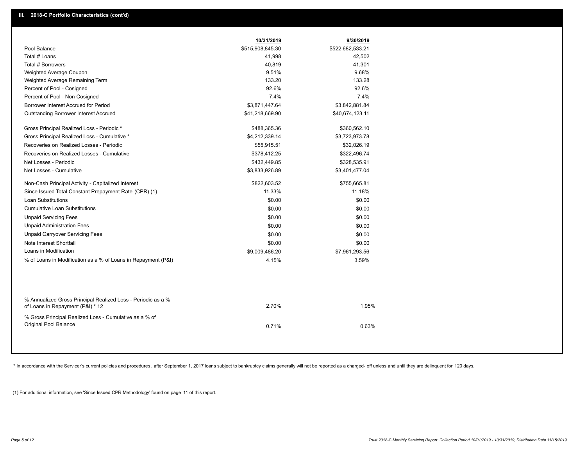|                                                                                                  | 10/31/2019       | 9/30/2019        |
|--------------------------------------------------------------------------------------------------|------------------|------------------|
| Pool Balance                                                                                     | \$515,908,845.30 | \$522,682,533.21 |
| Total # Loans                                                                                    | 41,998           | 42,502           |
| Total # Borrowers                                                                                | 40,819           | 41,301           |
| Weighted Average Coupon                                                                          | 9.51%            | 9.68%            |
| Weighted Average Remaining Term                                                                  | 133.20           | 133.28           |
| Percent of Pool - Cosigned                                                                       | 92.6%            | 92.6%            |
| Percent of Pool - Non Cosigned                                                                   | 7.4%             | 7.4%             |
| Borrower Interest Accrued for Period                                                             | \$3,871,447.64   | \$3,842,881.84   |
| Outstanding Borrower Interest Accrued                                                            | \$41,218,669.90  | \$40,674,123.11  |
| Gross Principal Realized Loss - Periodic *                                                       | \$488,365.36     | \$360,562.10     |
| Gross Principal Realized Loss - Cumulative *                                                     | \$4,212,339.14   | \$3,723,973.78   |
| Recoveries on Realized Losses - Periodic                                                         | \$55,915.51      | \$32,026.19      |
| Recoveries on Realized Losses - Cumulative                                                       | \$378,412.25     | \$322,496.74     |
| Net Losses - Periodic                                                                            | \$432,449.85     | \$328,535.91     |
| Net Losses - Cumulative                                                                          | \$3,833,926.89   | \$3,401,477.04   |
| Non-Cash Principal Activity - Capitalized Interest                                               | \$822,603.52     | \$755,665.81     |
| Since Issued Total Constant Prepayment Rate (CPR) (1)                                            | 11.33%           | 11.18%           |
| <b>Loan Substitutions</b>                                                                        | \$0.00           | \$0.00           |
| <b>Cumulative Loan Substitutions</b>                                                             | \$0.00           | \$0.00           |
| <b>Unpaid Servicing Fees</b>                                                                     | \$0.00           | \$0.00           |
| <b>Unpaid Administration Fees</b>                                                                | \$0.00           | \$0.00           |
| <b>Unpaid Carryover Servicing Fees</b>                                                           | \$0.00           | \$0.00           |
| Note Interest Shortfall                                                                          | \$0.00           | \$0.00           |
| Loans in Modification                                                                            | \$9,009,486.20   | \$7,961,293.56   |
| % of Loans in Modification as a % of Loans in Repayment (P&I)                                    | 4.15%            | 3.59%            |
|                                                                                                  |                  |                  |
| % Annualized Gross Principal Realized Loss - Periodic as a %<br>of Loans in Repayment (P&I) * 12 | 2.70%            | 1.95%            |
|                                                                                                  |                  |                  |
| % Gross Principal Realized Loss - Cumulative as a % of<br>Original Pool Balance                  |                  |                  |
|                                                                                                  | 0.71%            | 0.63%            |
|                                                                                                  |                  |                  |

\* In accordance with the Servicer's current policies and procedures, after September 1, 2017 loans subject to bankruptcy claims generally will not be reported as a charged- off unless and until they are delinquent for 120

(1) For additional information, see 'Since Issued CPR Methodology' found on page 11 of this report.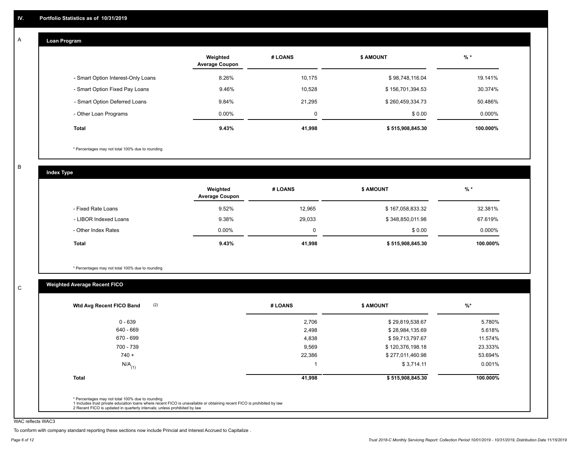#### **Loan Program**  A

|                                    | Weighted<br><b>Average Coupon</b> | # LOANS     | <b>\$ AMOUNT</b> | $%$ *     |
|------------------------------------|-----------------------------------|-------------|------------------|-----------|
| - Smart Option Interest-Only Loans | 8.26%                             | 10,175      | \$98,748,116.04  | 19.141%   |
| - Smart Option Fixed Pay Loans     | 9.46%                             | 10,528      | \$156,701,394.53 | 30.374%   |
| - Smart Option Deferred Loans      | 9.84%                             | 21.295      | \$260,459,334.73 | 50.486%   |
| - Other Loan Programs              | $0.00\%$                          | $\mathbf 0$ | \$0.00           | $0.000\%$ |
| <b>Total</b>                       | 9.43%                             | 41,998      | \$515,908,845.30 | 100.000%  |

\* Percentages may not total 100% due to rounding

B

C

**Index Type**

|                       | Weighted<br><b>Average Coupon</b> | # LOANS | <b>\$ AMOUNT</b> | $%$ *    |
|-----------------------|-----------------------------------|---------|------------------|----------|
| - Fixed Rate Loans    | 9.52%                             | 12,965  | \$167,058,833.32 | 32.381%  |
| - LIBOR Indexed Loans | 9.38%                             | 29,033  | \$348,850,011.98 | 67.619%  |
| - Other Index Rates   | $0.00\%$                          |         | \$0.00           | 0.000%   |
| Total                 | 9.43%                             | 41,998  | \$515,908,845.30 | 100.000% |

\* Percentages may not total 100% due to rounding

## **Weighted Average Recent FICO**

| $0 - 639$<br>640 - 669 | 2,706  | \$29,819,538.67  | 5.780%   |
|------------------------|--------|------------------|----------|
|                        |        |                  |          |
|                        | 2,498  | \$28,984,135.69  | 5.618%   |
| 670 - 699              | 4,838  | \$59,713,797.67  | 11.574%  |
| 700 - 739              | 9,569  | \$120,376,198.18 | 23.333%  |
| $740 +$                | 22,386 | \$277,011,460.98 | 53.694%  |
| $N/A$ <sub>(1)</sub>   |        | \$3,714.11       | 0.001%   |
| <b>Total</b>           | 41,998 | \$515,908,845.30 | 100.000% |

WAC reflects WAC3

To conform with company standard reporting these sections now include Princial and Interest Accrued to Capitalize .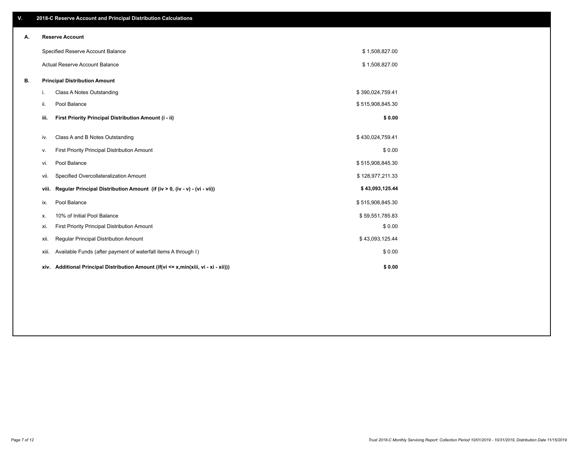| V. |       | 2018-C Reserve Account and Principal Distribution Calculations                       |                  |  |
|----|-------|--------------------------------------------------------------------------------------|------------------|--|
| А. |       | <b>Reserve Account</b>                                                               |                  |  |
|    |       | Specified Reserve Account Balance                                                    | \$1,508,827.00   |  |
|    |       | Actual Reserve Account Balance                                                       | \$1,508,827.00   |  |
| В. |       | <b>Principal Distribution Amount</b>                                                 |                  |  |
|    | i.    | Class A Notes Outstanding                                                            | \$390,024,759.41 |  |
|    | ii.   | Pool Balance                                                                         | \$515,908,845.30 |  |
|    | iii.  | First Priority Principal Distribution Amount (i - ii)                                | \$0.00           |  |
|    | iv.   | Class A and B Notes Outstanding                                                      | \$430,024,759.41 |  |
|    | ν.    | First Priority Principal Distribution Amount                                         | \$0.00           |  |
|    | vi.   | Pool Balance                                                                         | \$515,908,845.30 |  |
|    | vii.  | Specified Overcollateralization Amount                                               | \$128,977,211.33 |  |
|    | viii. | Regular Principal Distribution Amount (if (iv > 0, (iv - v) - (vi - vii))            | \$43,093,125.44  |  |
|    | ix.   | Pool Balance                                                                         | \$515,908,845.30 |  |
|    | х.    | 10% of Initial Pool Balance                                                          | \$59,551,785.83  |  |
|    | xi.   | First Priority Principal Distribution Amount                                         | \$0.00           |  |
|    | xii.  | Regular Principal Distribution Amount                                                | \$43,093,125.44  |  |
|    | xiii. | Available Funds (after payment of waterfall items A through I)                       | \$0.00           |  |
|    |       | xiv. Additional Principal Distribution Amount (if(vi <= x,min(xiii, vi - xi - xii))) | \$0.00           |  |
|    |       |                                                                                      |                  |  |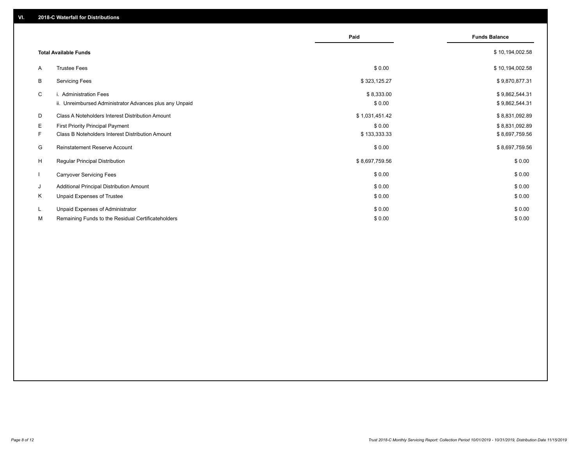|              |                                                                                   | Paid                 | <b>Funds Balance</b>             |
|--------------|-----------------------------------------------------------------------------------|----------------------|----------------------------------|
|              | <b>Total Available Funds</b>                                                      |                      | \$10,194,002.58                  |
| A            | <b>Trustee Fees</b>                                                               | \$0.00               | \$10,194,002.58                  |
| В            | <b>Servicing Fees</b>                                                             | \$323,125.27         | \$9,870,877.31                   |
| C            | i. Administration Fees<br>ii. Unreimbursed Administrator Advances plus any Unpaid | \$8,333.00<br>\$0.00 | \$9,862,544.31<br>\$9,862,544.31 |
| D            | Class A Noteholders Interest Distribution Amount                                  | \$1,031,451.42       | \$8,831,092.89                   |
| E.           | <b>First Priority Principal Payment</b>                                           | \$0.00               | \$8,831,092.89                   |
| F.           | Class B Noteholders Interest Distribution Amount                                  | \$133,333.33         | \$8,697,759.56                   |
| G            | Reinstatement Reserve Account                                                     | \$0.00               | \$8,697,759.56                   |
| H            | Regular Principal Distribution                                                    | \$8,697,759.56       | \$0.00                           |
| $\mathbf{I}$ | <b>Carryover Servicing Fees</b>                                                   | \$0.00               | \$0.00                           |
| J            | Additional Principal Distribution Amount                                          | \$0.00               | \$0.00                           |
| Κ            | Unpaid Expenses of Trustee                                                        | \$0.00               | \$0.00                           |
| L            | Unpaid Expenses of Administrator                                                  | \$0.00               | \$0.00                           |
| М            | Remaining Funds to the Residual Certificateholders                                | \$0.00               | \$0.00                           |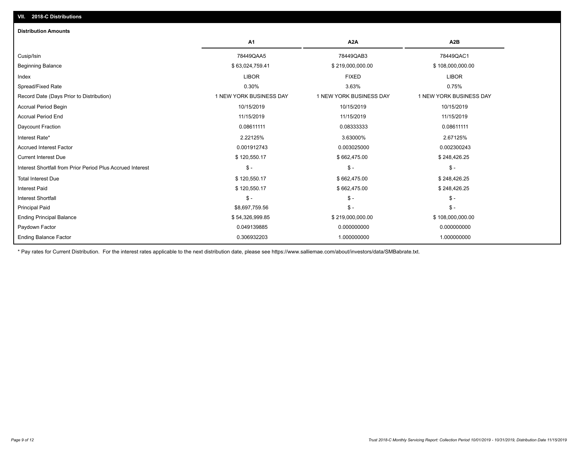| <b>Distribution Amounts</b>                                |                         |                         |                         |
|------------------------------------------------------------|-------------------------|-------------------------|-------------------------|
|                                                            | A <sub>1</sub>          | A <sub>2</sub> A        | A <sub>2</sub> B        |
| Cusip/Isin                                                 | 78449QAA5               | 78449QAB3               | 78449QAC1               |
| <b>Beginning Balance</b>                                   | \$63,024,759.41         | \$219,000,000.00        | \$108,000,000.00        |
| Index                                                      | <b>LIBOR</b>            | <b>FIXED</b>            | <b>LIBOR</b>            |
| Spread/Fixed Rate                                          | 0.30%                   | 3.63%                   | 0.75%                   |
| Record Date (Days Prior to Distribution)                   | 1 NEW YORK BUSINESS DAY | 1 NEW YORK BUSINESS DAY | 1 NEW YORK BUSINESS DAY |
| Accrual Period Begin                                       | 10/15/2019              | 10/15/2019              | 10/15/2019              |
| <b>Accrual Period End</b>                                  | 11/15/2019              | 11/15/2019              | 11/15/2019              |
| Daycount Fraction                                          | 0.08611111              | 0.08333333              | 0.08611111              |
| Interest Rate*                                             | 2.22125%                | 3.63000%                | 2.67125%                |
| <b>Accrued Interest Factor</b>                             | 0.001912743             | 0.003025000             | 0.002300243             |
| <b>Current Interest Due</b>                                | \$120,550.17            | \$662,475.00            | \$248,426.25            |
| Interest Shortfall from Prior Period Plus Accrued Interest | $\mathsf{\$}$ -         | $\mathcal{S}$ -         | $\mathcal{S}$ -         |
| <b>Total Interest Due</b>                                  | \$120,550.17            | \$662,475.00            | \$248,426.25            |
| <b>Interest Paid</b>                                       | \$120,550.17            | \$662,475.00            | \$248,426.25            |
| <b>Interest Shortfall</b>                                  | $\mathsf{\$}$ -         | $$ -$                   | $$ -$                   |
| <b>Principal Paid</b>                                      | \$8,697,759.56          | $$ -$                   | $\mathsf{\$}$ -         |
| <b>Ending Principal Balance</b>                            | \$54,326,999.85         | \$219,000,000.00        | \$108,000,000.00        |
| Paydown Factor                                             | 0.049139885             | 0.000000000             | 0.000000000             |
| <b>Ending Balance Factor</b>                               | 0.306932203             | 1.000000000             | 1.000000000             |

\* Pay rates for Current Distribution. For the interest rates applicable to the next distribution date, please see https://www.salliemae.com/about/investors/data/SMBabrate.txt.

**VII. 2018-C Distributions**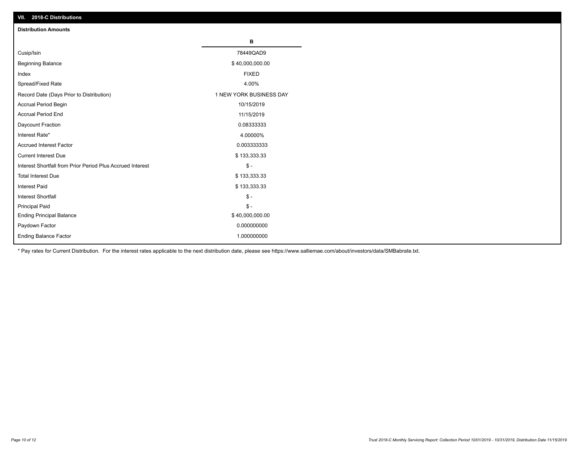| VII. ZU 10-U DISTIBUTURIS                                  |                         |
|------------------------------------------------------------|-------------------------|
| <b>Distribution Amounts</b>                                |                         |
|                                                            | В                       |
| Cusip/Isin                                                 | 78449QAD9               |
| <b>Beginning Balance</b>                                   | \$40,000,000.00         |
| Index                                                      | <b>FIXED</b>            |
| Spread/Fixed Rate                                          | 4.00%                   |
| Record Date (Days Prior to Distribution)                   | 1 NEW YORK BUSINESS DAY |
| Accrual Period Begin                                       | 10/15/2019              |
| <b>Accrual Period End</b>                                  | 11/15/2019              |
| Daycount Fraction                                          | 0.08333333              |
| Interest Rate*                                             | 4.00000%                |
| <b>Accrued Interest Factor</b>                             | 0.003333333             |
| <b>Current Interest Due</b>                                | \$133,333.33            |
| Interest Shortfall from Prior Period Plus Accrued Interest | $\mathcal{S}$ -         |
| <b>Total Interest Due</b>                                  | \$133,333.33            |
| <b>Interest Paid</b>                                       | \$133,333.33            |
| Interest Shortfall                                         | $\mathsf{\$}$ -         |
| <b>Principal Paid</b>                                      | $\frac{1}{2}$           |
| <b>Ending Principal Balance</b>                            | \$40,000,000.00         |
| Paydown Factor                                             | 0.000000000             |
| <b>Ending Balance Factor</b>                               | 1.000000000             |

\* Pay rates for Current Distribution. For the interest rates applicable to the next distribution date, please see https://www.salliemae.com/about/investors/data/SMBabrate.txt.

**VII. 2018-C Distributions**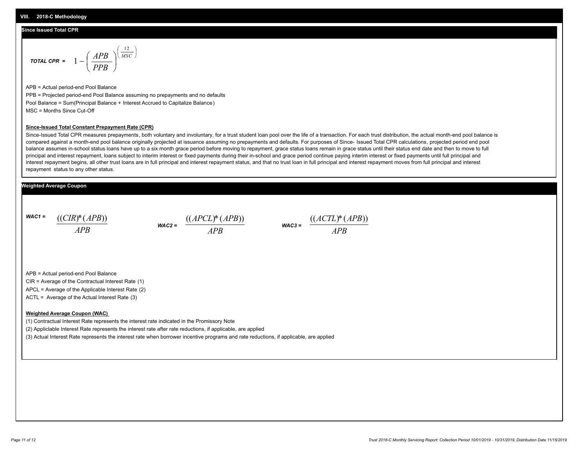#### **Since Issued Total CPR**

$$
\text{total CPR} = 1 - \left(\frac{APB}{PPB}\right)^{\left(\frac{12}{MSC}\right)}
$$

APB = Actual period-end Pool Balance PPB = Projected period-end Pool Balance assuming no prepayments and no defaults Pool Balance = Sum(Principal Balance + Interest Accrued to Capitalize Balance) MSC = Months Since Cut-Off

#### **Since-Issued Total Constant Prepayment Rate (CPR)**

Since-Issued Total CPR measures prepayments, both voluntary and involuntary, for a trust student loan pool over the life of a transaction. For each trust distribution, the actual month-end pool balance is compared against a month-end pool balance originally projected at issuance assuming no prepayments and defaults. For purposes of Since- Issued Total CPR calculations, projected period end pool balance assumes in-school status loans have up to a six month grace period before moving to repayment, grace status loans remain in grace status until their status end date and then to move to full principal and interest repayment, loans subject to interim interest or fixed payments during their in-school and grace period continue paying interim interest or fixed payments until full principal and interest repayment begins, all other trust loans are in full principal and interest repayment status, and that no trust loan in full principal and interest repayment moves from full principal and interest repayment status to any other status.

### **Weighted Average Coupon**

*WAC1 = APB* ((*CIR*)\*(*APB*))





APB = Actual period-end Pool Balance

CIR = Average of the Contractual Interest Rate (1)

APCL = Average of the Applicable Interest Rate (2)

ACTL = Average of the Actual Interest Rate (3)

#### **Weighted Average Coupon (WAC)**

(1) Contractual Interest Rate represents the interest rate indicated in the Promissory Note

(2) Appliclable Interest Rate represents the interest rate after rate reductions, if applicable, are applied

(3) Actual Interest Rate represents the interest rate when borrower incentive programs and rate reductions, if applicable, are applied